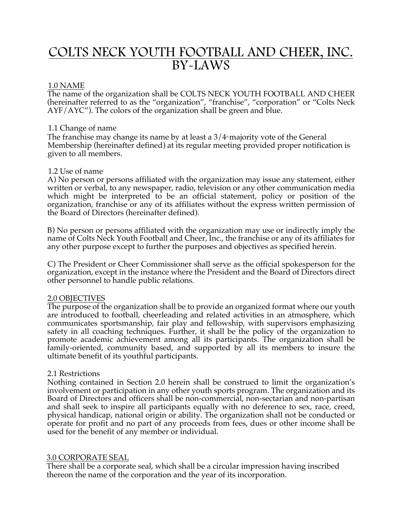# COLTS NECK YOUTH FOOTBALL AND CHEER, INC. BY-LAWS

# 1.0 NAME

The name of the organization shall be COLTS NECK YOUTH FOOTBALL AND CHEER (hereinafter referred to as the "organization", "franchise", "corporation" or "Colts Neck AYF/AYC"). The colors of the organization shall be green and blue.

# 1.1 Change of name

The franchise may change its name by at least a  $3/4$  majority vote of the General Membership (hereinafter defined) at its regular meeting provided proper notification is given to all members.

# 1.2 Use of name

A) No person or persons affiliated with the organization may issue any statement, either written or verbal, to any newspaper, radio, television or any other communication media which might be interpreted to be an official statement, policy or position of the organization, franchise or any of its affiliates without the express written permission of the Board of Directors (hereinafter defined).

B) No person or persons affiliated with the organization may use or indirectly imply the name of Colts Neck Youth Football and Cheer, Inc., the franchise or any of its affiliates for any other purpose except to further the purposes and objectives as specified herein.

C) The President or Cheer Commissioner shall serve as the official spokesperson for the organization, except in the instance where the President and the Board of Directors direct other personnel to handle public relations.

# 2.0 OBJECTIVES

The purpose of the organization shall be to provide an organized format where our youth are introduced to football, cheerleading and related activities in an atmosphere, which communicates sportsmanship, fair play and fellowship, with supervisors emphasizing safety in all coaching techniques. Further, it shall be the policy of the organization to promote academic achievement among all its participants. The organization shall be family-oriented, community based, and supported by all its members to insure the ultimate benefit of its youthful participants.

# 2.1 Restrictions

Nothing contained in Section 2.0 herein shall be construed to limit the organization's involvement or participation in any other youth sports program. The organization and its Board of Directors and officers shall be non-commercial, non-sectarian and non-partisan and shall seek to inspire all participants equally with no deference to sex, race, creed, physical handicap, national origin or ability. The organization shall not be conducted or operate for profit and no part of any proceeds from fees, dues or other income shall be used for the benefit of any member or individual.

# 3.0 CORPORATE SEAL

There shall be a corporate seal, which shall be a circular impression having inscribed thereon the name of the corporation and the year of its incorporation.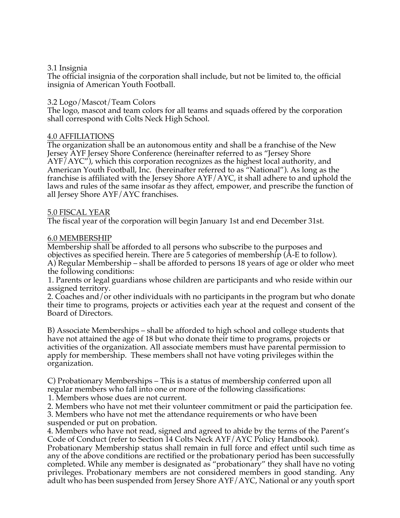# 3.1 Insignia

The official insignia of the corporation shall include, but not be limited to, the official insignia of American Youth Football.

# 3.2 Logo/Mascot/Team Colors

The logo, mascot and team colors for all teams and squads offered by the corporation shall correspond with Colts Neck High School.

# 4.0 AFFILIATIONS

The organization shall be an autonomous entity and shall be a franchise of the New Jersey AYF Jersey Shore Conference (hereinafter referred to as "Jersey Shore AYF/AYC"), which this corporation recognizes as the highest local authority, and American Youth Football, Inc. (hereinafter referred to as "National"). As long as the franchise is affiliated with the Jersey Shore AYF/AYC, it shall adhere to and uphold the laws and rules of the same insofar as they affect, empower, and prescribe the function of all Jersey Shore AYF/AYC franchises.

#### 5.0 FISCAL YEAR

The fiscal year of the corporation will begin January 1st and end December 31st.

#### 6.0 MEMBERSHIP

Membership shall be afforded to all persons who subscribe to the purposes and objectives as specified herein. There are 5 categories of membership (A-E to follow). A) Regular Membership – shall be afforded to persons 18 years of age or older who meet the following conditions:

1. Parents or legal guardians whose children are participants and who reside within our assigned territory.

2. Coaches and/or other individuals with no participants in the program but who donate their time to programs, projects or activities each year at the request and consent of the Board of Directors.

B) Associate Memberships – shall be afforded to high school and college students that have not attained the age of 18 but who donate their time to programs, projects or activities of the organization. All associate members must have parental permission to apply for membership. These members shall not have voting privileges within the organization.

C) Probationary Memberships – This is a status of membership conferred upon all regular members who fall into one or more of the following classifications:

1. Members whose dues are not current.

2. Members who have not met their volunteer commitment or paid the participation fee.

3. Members who have not met the attendance requirements or who have been suspended or put on probation.

4. Members who have not read, signed and agreed to abide by the terms of the Parent's Code of Conduct (refer to Section 14 Colts Neck AYF/AYC Policy Handbook).

Probationary Membership status shall remain in full force and effect until such time as any of the above conditions are rectified or the probationary period has been successfully completed. While any member is designated as "probationary" they shall have no voting privileges. Probationary members are not considered members in good standing. Any adult who has been suspended from Jersey Shore AYF/AYC, National or any youth sport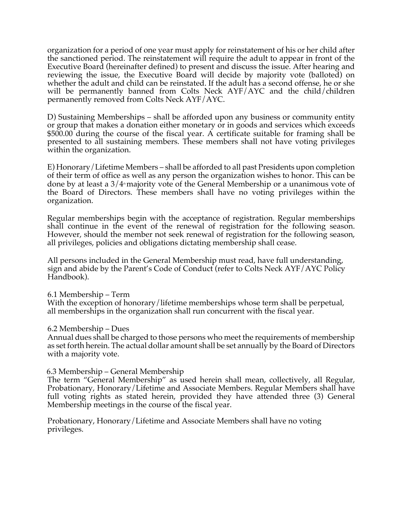organization for a period of one year must apply for reinstatement of his or her child after the sanctioned period. The reinstatement will require the adult to appear in front of the Executive Board (hereinafter defined) to present and discuss the issue. After hearing and reviewing the issue, the Executive Board will decide by majority vote (balloted) on whether the adult and child can be reinstated. If the adult has a second offense, he or she will be permanently banned from Colts Neck AYF/AYC and the child/children permanently removed from Colts Neck AYF/AYC.

D) Sustaining Memberships – shall be afforded upon any business or community entity or group that makes a donation either monetary or in goods and services which exceeds \$500.00 during the course of the fiscal year. A certificate suitable for framing shall be presented to all sustaining members. These members shall not have voting privileges within the organization.

E) Honorary/Lifetime Members – shall be afforded to all past Presidents upon completion of their term of office as well as any person the organization wishes to honor. This can be done by at least a  $3/4$ <sup>th</sup> majority vote of the General Membership or a unanimous vote of the Board of Directors. These members shall have no voting privileges within the organization.

Regular memberships begin with the acceptance of registration. Regular memberships shall continue in the event of the renewal of registration for the following season. However, should the member not seek renewal of registration for the following season, all privileges, policies and obligations dictating membership shall cease.

All persons included in the General Membership must read, have full understanding, sign and abide by the Parent's Code of Conduct (refer to Colts Neck AYF/AYC Policy Handbook).

#### 6.1 Membership – Term

With the exception of honorary/lifetime memberships whose term shall be perpetual, all memberships in the organization shall run concurrent with the fiscal year.

# 6.2 Membership – Dues

Annual dues shall be charged to those persons who meet the requirements of membership as set forth herein. The actual dollar amount shall be set annually by the Board of Directors with a majority vote.

#### 6.3 Membership – General Membership

The term "General Membership" as used herein shall mean, collectively, all Regular, Probationary, Honorary/Lifetime and Associate Members. Regular Members shall have full voting rights as stated herein, provided they have attended three (3) General Membership meetings in the course of the fiscal year.

Probationary, Honorary/Lifetime and Associate Members shall have no voting privileges.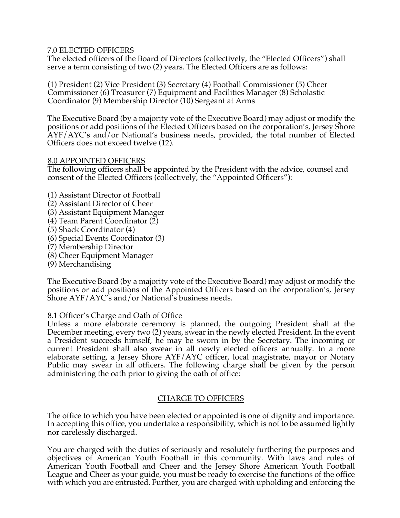# 7.0 ELECTED OFFICERS

The elected officers of the Board of Directors (collectively, the "Elected Officers") shall serve a term consisting of two (2) years. The Elected Officers are as follows:

(1) President (2) Vice President (3) Secretary (4) Football Commissioner (5) Cheer Commissioner (6) Treasurer (7) Equipment and Facilities Manager (8) Scholastic Coordinator (9) Membership Director (10) Sergeant at Arms

The Executive Board (by a majority vote of the Executive Board) may adjust or modify the positions or add positions of the Elected Officers based on the corporation's, Jersey Shore AYF/AYC's and/or National's business needs, provided, the total number of Elected Officers does not exceed twelve (12).

# 8.0 APPOINTED OFFICERS

The following officers shall be appointed by the President with the advice, counsel and consent of the Elected Officers (collectively, the "Appointed Officers"):

- (1) Assistant Director of Football
- (2) Assistant Director of Cheer
- (3) Assistant Equipment Manager
- (4) Team Parent Coordinator (2)
- (5) Shack Coordinator (4)
- (6) Special Events Coordinator (3)
- (7) Membership Director
- (8) Cheer Equipment Manager
- (9) Merchandising

The Executive Board (by a majority vote of the Executive Board) may adjust or modify the positions or add positions of the Appointed Officers based on the corporation's, Jersey Shore AYF/AYC's and/or National's business needs.

8.1 Officer's Charge and Oath of Office

Unless a more elaborate ceremony is planned, the outgoing President shall at the December meeting, every two (2) years, swear in the newly elected President. In the event a President succeeds himself, he may be sworn in by the Secretary. The incoming or current President shall also swear in all newly elected officers annually. In a more elaborate setting, a Jersey Shore AYF/AYC officer, local magistrate, mayor or Notary Public may swear in all officers. The following charge shall be given by the person administering the oath prior to giving the oath of office:

# CHARGE TO OFFICERS

The office to which you have been elected or appointed is one of dignity and importance. In accepting this office, you undertake a responsibility, which is not to be assumed lightly nor carelessly discharged.

You are charged with the duties of seriously and resolutely furthering the purposes and objectives of American Youth Football in this community. With laws and rules of American Youth Football and Cheer and the Jersey Shore American Youth Football League and Cheer as your guide, you must be ready to exercise the functions of the office with which you are entrusted. Further, you are charged with upholding and enforcing the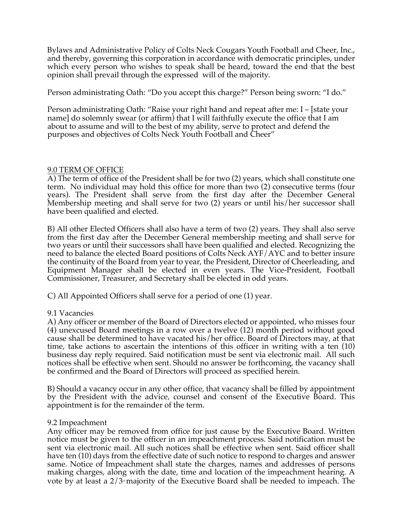Bylaws and Administrative Policy of Colts Neck Cougars Youth Football and Cheer, Inc., and thereby, governing this corporation in accordance with democratic principles, under which every person who wishes to speak shall be heard, toward the end that the best opinion shall prevail through the expressed will of the majority.

Person administrating Oath: "Do you accept this charge?" Person being sworn: "I do."

Person administrating Oath: "Raise your right hand and repeat after me: I – [state your name] do solemnly swear (or affirm) that I will faithfully execute the office that I am about to assume and will to the best of my ability, serve to protect and defend the purposes and objectives of Colts Neck Youth Football and Cheer"

# 9.0 TERM OF OFFICE

A) The term of office of the President shall be for two (2) years, which shall constitute one term. No individual may hold this office for more than two (2) consecutive terms (four years). The President shall serve from the first day after the December General Membership meeting and shall serve for two (2) years or until his/her successor shall have been qualified and elected.

B) All other Elected Officers shall also have a term of two (2) years. They shall also serve from the first day after the December General membership meeting and shall serve for two years or until their successors shall have been qualified and elected. Recognizing the need to balance the elected Board positions of Colts Neck AYF/AYC and to better insure the continuity of the Board from year to year, the President, Director of Cheerleading, and Equipment Manager shall be elected in even years. The Vice-President, Football Commissioner, Treasurer, and Secretary shall be elected in odd years.

C) All Appointed Officers shall serve for a period of one (1) year.

# 9.1 Vacancies

A) Any officer or member of the Board of Directors elected or appointed, who misses four (4) unexcused Board meetings in a row over a twelve (12) month period without good cause shall be determined to have vacated his/her office. Board of Directors may, at that time, take actions to ascertain the intentions of this officer in writing with a ten (10) business day reply required. Said notification must be sent via electronic mail. All such notices shall be effective when sent. Should no answer be forthcoming, the vacancy shall be confirmed and the Board of Directors will proceed as specified herein.

B) Should a vacancy occur in any other office, that vacancy shall be filled by appointment by the President with the advice, counsel and consent of the Executive Board. This appointment is for the remainder of the term.

# 9.2 Impeachment

Any officer may be removed from office for just cause by the Executive Board. Written notice must be given to the officer in an impeachment process. Said notification must be sent via electronic mail. All such notices shall be effective when sent. Said officer shall have ten (10) days from the effective date of such notice to respond to charges and answer same. Notice of Impeachment shall state the charges, names and addresses of persons making charges, along with the date, time and location of the impeachment hearing. A vote by at least a  $2/3$ <sup>d</sup> majority of the Executive Board shall be needed to impeach. The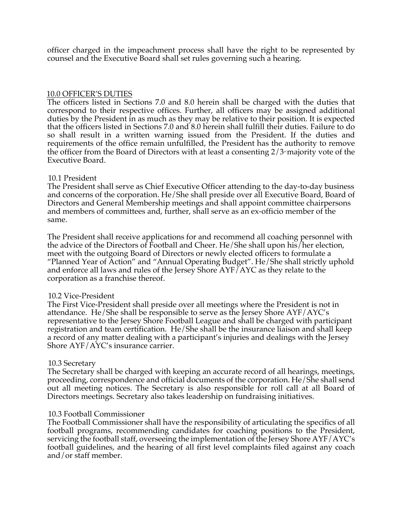officer charged in the impeachment process shall have the right to be represented by counsel and the Executive Board shall set rules governing such a hearing.

# 10.0 OFFICER'S DUTIES

The officers listed in Sections 7.0 and 8.0 herein shall be charged with the duties that correspond to their respective offices. Further, all officers may be assigned additional duties by the President in as much as they may be relative to their position. It is expected that the officers listed in Sections 7.0 and 8.0 herein shall fulfill their duties. Failure to do so shall result in a written warning issued from the President. If the duties and requirements of the office remain unfulfilled, the President has the authority to remove the officer from the Board of Directors with at least a consenting  $2/3<sup>a</sup>$  majority vote of the Executive Board.

#### 10.1 President

The President shall serve as Chief Executive Officer attending to the day-to-day business and concerns of the corporation. He/She shall preside over all Executive Board, Board of Directors and General Membership meetings and shall appoint committee chairpersons and members of committees and, further, shall serve as an ex-officio member of the same.

The President shall receive applications for and recommend all coaching personnel with the advice of the Directors of Football and Cheer. He/She shall upon his/her election, meet with the outgoing Board of Directors or newly elected officers to formulate a "Planned Year of Action" and "Annual Operating Budget". He/She shall strictly uphold and enforce all laws and rules of the Jersey Shore AYF/AYC as they relate to the corporation as a franchise thereof.

# 10.2 Vice-President

The First Vice-President shall preside over all meetings where the President is not in attendance. He/She shall be responsible to serve as the Jersey Shore AYF/AYC's representative to the Jersey Shore Football League and shall be charged with participant registration and team certification. He/She shall be the insurance liaison and shall keep a record of any matter dealing with a participant's injuries and dealings with the Jersey Shore AYF/AYC's insurance carrier.

# 10.3 Secretary

The Secretary shall be charged with keeping an accurate record of all hearings, meetings, proceeding, correspondence and official documents of the corporation. He/She shall send out all meeting notices. The Secretary is also responsible for roll call at all Board of Directors meetings. Secretary also takes leadership on fundraising initiatives.

# 10.3 Football Commissioner

The Football Commissioner shall have the responsibility of articulating the specifics of all football programs, recommending candidates for coaching positions to the President, servicing the football staff, overseeing the implementation of the Jersey Shore AYF/AYC's football guidelines, and the hearing of all first level complaints filed against any coach and/or staff member.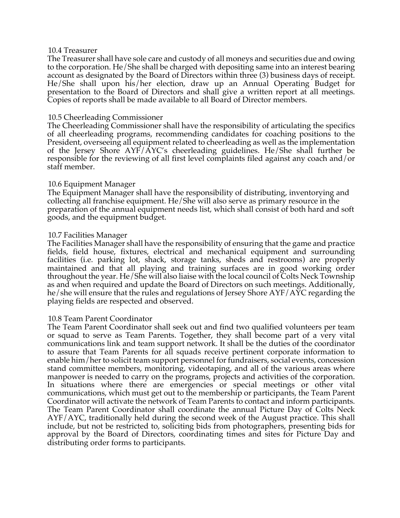#### 10.4 Treasurer

The Treasurer shall have sole care and custody of all moneys and securities due and owing to the corporation. He/She shall be charged with depositing same into an interest bearing account as designated by the Board of Directors within three (3) business days of receipt. He/She shall upon his/her election, draw up an Annual Operating Budget for presentation to the Board of Directors and shall give a written report at all meetings. Copies of reports shall be made available to all Board of Director members.

# 10.5 Cheerleading Commissioner

The Cheerleading Commissioner shall have the responsibility of articulating the specifics of all cheerleading programs, recommending candidates for coaching positions to the President, overseeing all equipment related to cheerleading as well as the implementation of the Jersey Shore AYF/AYC's cheerleading guidelines. He/She shall further be responsible for the reviewing of all first level complaints filed against any coach and/or staff member.

# 10.6 Equipment Manager

The Equipment Manager shall have the responsibility of distributing, inventorying and collecting all franchise equipment. He/She will also serve as primary resource in the preparation of the annual equipment needs list, which shall consist of both hard and soft goods, and the equipment budget.

#### 10.7 Facilities Manager

The Facilities Manager shall have the responsibility of ensuring that the game and practice fields, field house, fixtures, electrical and mechanical equipment and surrounding facilities (i.e. parking lot, shack, storage tanks, sheds and restrooms) are properly maintained and that all playing and training surfaces are in good working order throughout the year. He/She will also liaise with the local council of Colts Neck Township as and when required and update the Board of Directors on such meetings. Additionally, he/she will ensure that the rules and regulations of Jersey Shore AYF/AYC regarding the playing fields are respected and observed.

# 10.8 Team Parent Coordinator

The Team Parent Coordinator shall seek out and find two qualified volunteers per team or squad to serve as Team Parents. Together, they shall become part of a very vital communications link and team support network. It shall be the duties of the coordinator to assure that Team Parents for all squads receive pertinent corporate information to enable him/her to solicit team support personnel for fundraisers, social events, concession stand committee members, monitoring, videotaping, and all of the various areas where manpower is needed to carry on the programs, projects and activities of the corporation. In situations where there are emergencies or special meetings or other vital communications, which must get out to the membership or participants, the Team Parent Coordinator will activate the network of Team Parents to contact and inform participants. The Team Parent Coordinator shall coordinate the annual Picture Day of Colts Neck AYF/AYC, traditionally held during the second week of the August practice. This shall include, but not be restricted to, soliciting bids from photographers, presenting bids for approval by the Board of Directors, coordinating times and sites for Picture Day and distributing order forms to participants.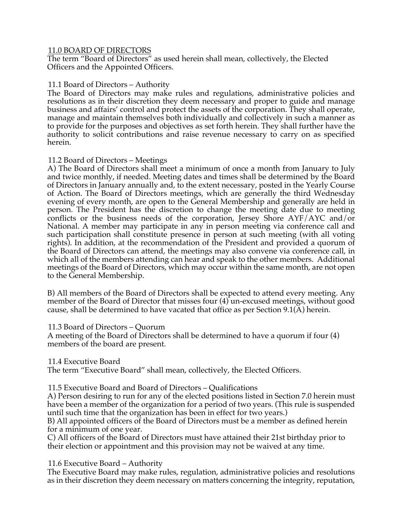# 11.0 BOARD OF DIRECTORS

The term "Board of Directors" as used herein shall mean, collectively, the Elected Officers and the Appointed Officers.

# 11.1 Board of Directors – Authority

The Board of Directors may make rules and regulations, administrative policies and resolutions as in their discretion they deem necessary and proper to guide and manage business and affairs' control and protect the assets of the corporation. They shall operate, manage and maintain themselves both individually and collectively in such a manner as to provide for the purposes and objectives as set forth herein. They shall further have the authority to solicit contributions and raise revenue necessary to carry on as specified herein.

# 11.2 Board of Directors – Meetings

A) The Board of Directors shall meet a minimum of once a month from January to July and twice monthly, if needed. Meeting dates and times shall be determined by the Board of Directors in January annually and, to the extent necessary, posted in the Yearly Course of Action. The Board of Directors meetings, which are generally the third Wednesday evening of every month, are open to the General Membership and generally are held in person. The President has the discretion to change the meeting date due to meeting conflicts or the business needs of the corporation, Jersey Shore AYF/AYC and/or National. A member may participate in any in person meeting via conference call and such participation shall constitute presence in person at such meeting (with all voting rights). In addition, at the recommendation of the President and provided a quorum of the Board of Directors can attend, the meetings may also convene via conference call, in which all of the members attending can hear and speak to the other members. Additional meetings of the Board of Directors, which may occur within the same month, are not open to the General Membership.

B) All members of the Board of Directors shall be expected to attend every meeting. Any member of the Board of Director that misses four (4) un-excused meetings, without good cause, shall be determined to have vacated that office as per Section  $9.1(\overline{A})$  herein.

# 11.3 Board of Directors – Quorum

A meeting of the Board of Directors shall be determined to have a quorum if four (4) members of the board are present.

# 11.4 Executive Board

The term "Executive Board" shall mean, collectively, the Elected Officers.

11.5 Executive Board and Board of Directors – Qualifications

A) Person desiring to run for any of the elected positions listed in Section 7.0 herein must have been a member of the organization for a period of two years. (This rule is suspended until such time that the organization has been in effect for two years.)

B) All appointed officers of the Board of Directors must be a member as defined herein for a minimum of one year.

C) All officers of the Board of Directors must have attained their 21st birthday prior to their election or appointment and this provision may not be waived at any time.

# 11.6 Executive Board – Authority

The Executive Board may make rules, regulation, administrative policies and resolutions as in their discretion they deem necessary on matters concerning the integrity, reputation,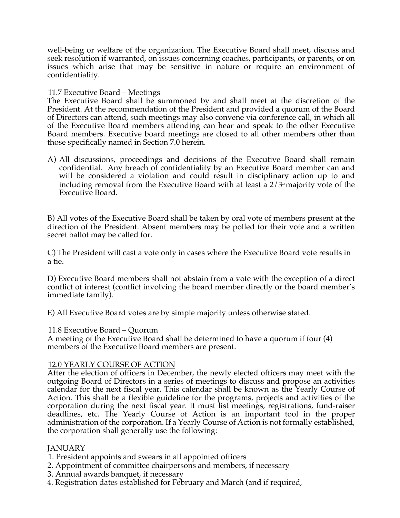well-being or welfare of the organization. The Executive Board shall meet, discuss and seek resolution if warranted, on issues concerning coaches, participants, or parents, or on issues which arise that may be sensitive in nature or require an environment of confidentiality.

#### 11.7 Executive Board – Meetings

The Executive Board shall be summoned by and shall meet at the discretion of the President. At the recommendation of the President and provided a quorum of the Board of Directors can attend, such meetings may also convene via conference call, in which all of the Executive Board members attending can hear and speak to the other Executive Board members. Executive board meetings are closed to all other members other than those specifically named in Section 7.0 herein.

A) All discussions, proceedings and decisions of the Executive Board shall remain confidential. Any breach of confidentiality by an Executive Board member can and will be considered a violation and could result in disciplinary action up to and including removal from the Executive Board with at least a  $2/3$  majority vote of the Executive Board.

B) All votes of the Executive Board shall be taken by oral vote of members present at the direction of the President. Absent members may be polled for their vote and a written secret ballot may be called for.

C) The President will cast a vote only in cases where the Executive Board vote results in a tie.

D) Executive Board members shall not abstain from a vote with the exception of a direct conflict of interest (conflict involving the board member directly or the board member's immediate family).

E) All Executive Board votes are by simple majority unless otherwise stated.

#### 11.8 Executive Board – Quorum

A meeting of the Executive Board shall be determined to have a quorum if four (4) members of the Executive Board members are present.

#### 12.0 YEARLY COURSE OF ACTION

After the election of officers in December, the newly elected officers may meet with the outgoing Board of Directors in a series of meetings to discuss and propose an activities calendar for the next fiscal year. This calendar shall be known as the Yearly Course of Action. This shall be a flexible guideline for the programs, projects and activities of the corporation during the next fiscal year. It must list meetings, registrations, fund-raiser deadlines, etc. The Yearly Course of Action is an important tool in the proper administration of the corporation. If a Yearly Course of Action is not formally established, the corporation shall generally use the following:

# **JANUARY**

- 1. President appoints and swears in all appointed officers
- 2. Appointment of committee chairpersons and members, if necessary
- 3. Annual awards banquet, if necessary
- 4. Registration dates established for February and March (and if required,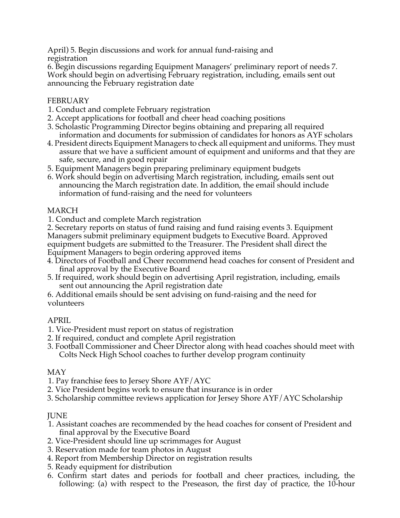April) 5. Begin discussions and work for annual fund-raising and registration

6. Begin discussions regarding Equipment Managers' preliminary report of needs 7. Work should begin on advertising February registration, including, emails sent out announcing the February registration date

# FEBRUARY

- 1. Conduct and complete February registration
- 2. Accept applications for football and cheer head coaching positions
- 3. Scholastic Programming Director begins obtaining and preparing all required information and documents for submission of candidates for honors as AYF scholars
- 4. President directs Equipment Managers to check all equipment and uniforms. They must assure that we have a sufficient amount of equipment and uniforms and that they are safe, secure, and in good repair
- 5. Equipment Managers begin preparing preliminary equipment budgets
- 6. Work should begin on advertising March registration, including, emails sent out announcing the March registration date. In addition, the email should include information of fund-raising and the need for volunteers

# MARCH

1. Conduct and complete March registration

2. Secretary reports on status of fund raising and fund raising events 3. Equipment Managers submit preliminary equipment budgets to Executive Board. Approved equipment budgets are submitted to the Treasurer. The President shall direct the Equipment Managers to begin ordering approved items

- 4. Directors of Football and Cheer recommend head coaches for consent of President and final approval by the Executive Board
- 5. If required, work should begin on advertising April registration, including, emails sent out announcing the April registration date

6. Additional emails should be sent advising on fund-raising and the need for volunteers

# APRIL

- 1. Vice-President must report on status of registration
- 2. If required, conduct and complete April registration
- 3. Football Commissioner and Cheer Director along with head coaches should meet with Colts Neck High School coaches to further develop program continuity

# MAY

- 1. Pay franchise fees to Jersey Shore AYF/AYC
- 2. Vice President begins work to ensure that insurance is in order
- 3. Scholarship committee reviews application for Jersey Shore AYF/AYC Scholarship

# JUNE

- 1. Assistant coaches are recommended by the head coaches for consent of President and final approval by the Executive Board
- 2. Vice-President should line up scrimmages for August
- 3. Reservation made for team photos in August
- 4. Report from Membership Director on registration results
- 5. Ready equipment for distribution
- 6. Confirm start dates and periods for football and cheer practices, including, the following: (a) with respect to the Preseason, the first day of practice, the 10-hour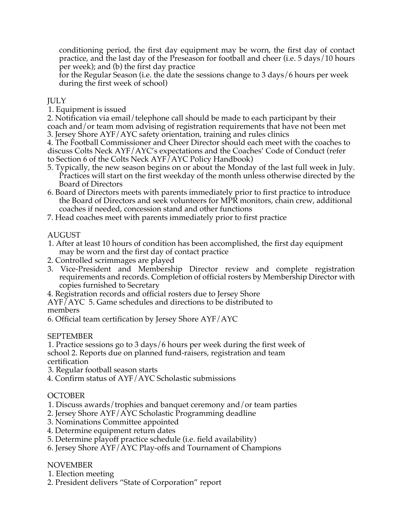conditioning period, the first day equipment may be worn, the first day of contact practice, and the last day of the Preseason for football and cheer (i.e. 5 days/10 hours per week); and (b) the first day practice

for the Regular Season (i.e. the date the sessions change to 3 days/6 hours per week during the first week of school)

# **JULY**

1. Equipment is issued

2. Notification via email/telephone call should be made to each participant by their coach and/or team mom advising of registration requirements that have not been met

3. Jersey Shore AYF/AYC safety orientation, training and rules clinics

4. The Football Commissioner and Cheer Director should each meet with the coaches to discuss Colts Neck AYF/AYC's expectations and the Coaches' Code of Conduct (refer to Section 6 of the Colts Neck AYF/AYC Policy Handbook)

- 5. Typically, the new season begins on or about the Monday of the last full week in July. Practices will start on the first weekday of the month unless otherwise directed by the Board of Directors
- 6. Board of Directors meets with parents immediately prior to first practice to introduce the Board of Directors and seek volunteers for MPR monitors, chain crew, additional coaches if needed, concession stand and other functions
- 7. Head coaches meet with parents immediately prior to first practice

# AUGUST

- 1. After at least 10 hours of condition has been accomplished, the first day equipment may be worn and the first day of contact practice
- 2. Controlled scrimmages are played
- 3. Vice-President and Membership Director review and complete registration requirements and records. Completion of official rosters by Membership Director with copies furnished to Secretary
- 4. Registration records and official rosters due to Jersey Shore
- AYF/AYC 5. Game schedules and directions to be distributed to members
- 6. Official team certification by Jersey Shore AYF/AYC

# SEPTEMBER

1. Practice sessions go to 3 days/6 hours per week during the first week of school 2. Reports due on planned fund-raisers, registration and team certification

- 3. Regular football season starts
- 4. Confirm status of AYF/AYC Scholastic submissions

# **OCTOBER**

- 1. Discuss awards/trophies and banquet ceremony and/or team parties
- 2. Jersey Shore AYF/AYC Scholastic Programming deadline
- 3. Nominations Committee appointed
- 4. Determine equipment return dates
- 5. Determine playoff practice schedule (i.e. field availability)
- 6. Jersey Shore AYF/AYC Play-offs and Tournament of Champions

# NOVEMBER

- 1. Election meeting
- 2. President delivers "State of Corporation" report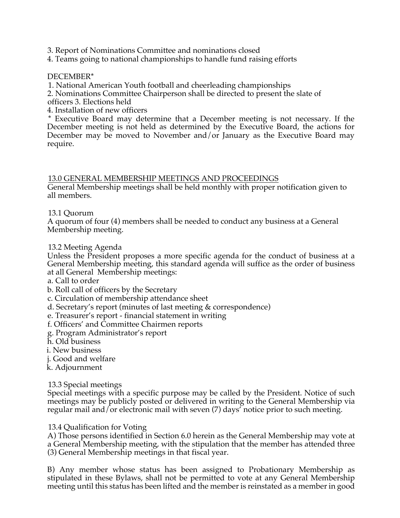3. Report of Nominations Committee and nominations closed

4. Teams going to national championships to handle fund raising efforts

# DECEMBER\*

1. National American Youth football and cheerleading championships

2. Nominations Committee Chairperson shall be directed to present the slate of

officers 3. Elections held

4. Installation of new officers

\* Executive Board may determine that a December meeting is not necessary. If the December meeting is not held as determined by the Executive Board, the actions for December may be moved to November and/or January as the Executive Board may require.

# 13.0 GENERAL MEMBERSHIP MEETINGS AND PROCEEDINGS

General Membership meetings shall be held monthly with proper notification given to all members.

# 13.1 Quorum

A quorum of four (4) members shall be needed to conduct any business at a General Membership meeting.

# 13.2 Meeting Agenda

Unless the President proposes a more specific agenda for the conduct of business at a General Membership meeting, this standard agenda will suffice as the order of business at all General Membership meetings:

- a. Call to order
- b. Roll call of officers by the Secretary
- c. Circulation of membership attendance sheet
- d. Secretary's report (minutes of last meeting & correspondence)

e. Treasurer's report - financial statement in writing

- f. Officers' and Committee Chairmen reports
- g. Program Administrator's report
- h. Old business
- i. New business
- j. Good and welfare
- k. Adjournment

# 13.3 Special meetings

Special meetings with a specific purpose may be called by the President. Notice of such meetings may be publicly posted or delivered in writing to the General Membership via regular mail and/or electronic mail with seven (7) days' notice prior to such meeting.

# 13.4 Qualification for Voting

A) Those persons identified in Section 6.0 herein as the General Membership may vote at a General Membership meeting, with the stipulation that the member has attended three (3) General Membership meetings in that fiscal year.

B) Any member whose status has been assigned to Probationary Membership as stipulated in these Bylaws, shall not be permitted to vote at any General Membership meeting until this status has been lifted and the member is reinstated as a member in good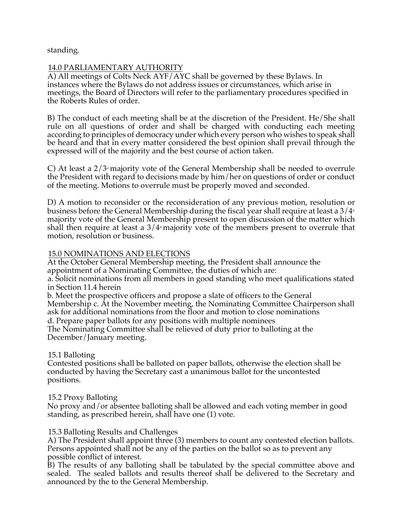standing.

# 14.0 PARLIAMENTARY AUTHORITY

A) All meetings of Colts Neck AYF/AYC shall be governed by these Bylaws. In instances where the Bylaws do not address issues or circumstances, which arise in meetings, the Board of Directors will refer to the parliamentary procedures specified in the Roberts Rules of order.

B) The conduct of each meeting shall be at the discretion of the President. He/She shall rule on all questions of order and shall be charged with conducting each meeting according to principles of democracy under which every person who wishes to speak shall be heard and that in every matter considered the best opinion shall prevail through the expressed will of the majority and the best course of action taken.

C) At least a  $2/3$  majority vote of the General Membership shall be needed to overrule the President with regard to decisions made by him/her on questions of order or conduct of the meeting. Motions to overrule must be properly moved and seconded.

D) A motion to reconsider or the reconsideration of any previous motion, resolution or business before the General Membership during the fiscal year shall require at least a  $3/4*$ majority vote of the General Membership present to open discussion of the matter which shall then require at least a  $3/4$ <sup>th</sup> majority vote of the members present to overrule that motion, resolution or business.

# 15.0 NOMINATIONS AND ELECTIONS

At the October General Membership meeting, the President shall announce the appointment of a Nominating Committee, the duties of which are:

a. Solicit nominations from all members in good standing who meet qualifications stated in Section 11.4 herein

b. Meet the prospective officers and propose a slate of officers to the General Membership c. At the November meeting, the Nominating Committee Chairperson shall ask for additional nominations from the floor and motion to close nominations

d. Prepare paper ballots for any positions with multiple nominees

The Nominating Committee shall be relieved of duty prior to balloting at the December/January meeting.

# 15.1 Balloting

Contested positions shall be balloted on paper ballots, otherwise the election shall be conducted by having the Secretary cast a unanimous ballot for the uncontested positions.

# 15.2 Proxy Balloting

No proxy and/or absentee balloting shall be allowed and each voting member in good standing, as prescribed herein, shall have one (1) vote.

# 15.3 Balloting Results and Challenges

A) The President shall appoint three (3) members to count any contested election ballots. Persons appointed shall not be any of the parties on the ballot so as to prevent any possible conflict of interest.

B) The results of any balloting shall be tabulated by the special committee above and sealed. The sealed ballots and results thereof shall be delivered to the Secretary and announced by the to the General Membership.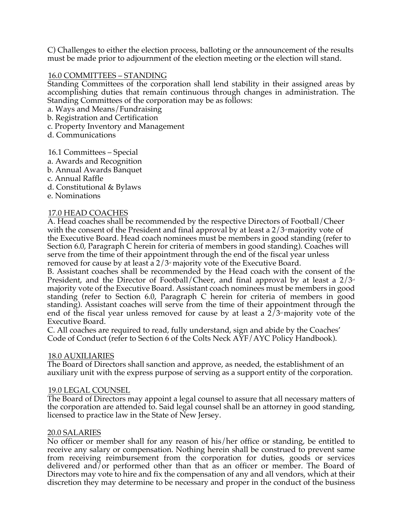C) Challenges to either the election process, balloting or the announcement of the results must be made prior to adjournment of the election meeting or the election will stand.

# 16.0 COMMITTEES – STANDING

Standing Committees of the corporation shall lend stability in their assigned areas by accomplishing duties that remain continuous through changes in administration. The Standing Committees of the corporation may be as follows:

a. Ways and Means/Fundraising

- b. Registration and Certification
- c. Property Inventory and Management
- d. Communications

# 16.1 Committees – Special

- a. Awards and Recognition
- b. Annual Awards Banquet
- c. Annual Raffle
- d. Constitutional & Bylaws
- e. Nominations

# 17.0 HEAD COACHES

A. Head coaches shall be recommended by the respective Directors of Football/Cheer with the consent of the President and final approval by at least a  $2/3<sup>d</sup>$  majority vote of the Executive Board. Head coach nominees must be members in good standing (refer to Section 6.0, Paragraph C herein for criteria of members in good standing). Coaches will serve from the time of their appointment through the end of the fiscal year unless removed for cause by at least a  $2/3$ <sup>d</sup> majority vote of the Executive Board.

B. Assistant coaches shall be recommended by the Head coach with the consent of the President, and the Director of Football/Cheer, and final approval by at least a  $2/3<sup>d</sup>$ majority vote of the Executive Board. Assistant coach nominees must be members in good standing (refer to Section 6.0, Paragraph C herein for criteria of members in good standing). Assistant coaches will serve from the time of their appointment through the end of the fiscal year unless removed for cause by at least a  $2/3$ <sup>d</sup> majority vote of the Executive Board.

C. All coaches are required to read, fully understand, sign and abide by the Coaches' Code of Conduct (refer to Section 6 of the Colts Neck AYF/AYC Policy Handbook).

# 18.0 AUXILIARIES

The Board of Directors shall sanction and approve, as needed, the establishment of an auxiliary unit with the express purpose of serving as a support entity of the corporation.

# 19.0 LEGAL COUNSEL

The Board of Directors may appoint a legal counsel to assure that all necessary matters of the corporation are attended to. Said legal counsel shall be an attorney in good standing, licensed to practice law in the State of New Jersey.

# 20.0 SALARIES

No officer or member shall for any reason of his/her office or standing, be entitled to receive any salary or compensation. Nothing herein shall be construed to prevent same from receiving reimbursement from the corporation for duties, goods or services delivered and/or performed other than that as an officer or member. The Board of Directors may vote to hire and fix the compensation of any and all vendors, which at their discretion they may determine to be necessary and proper in the conduct of the business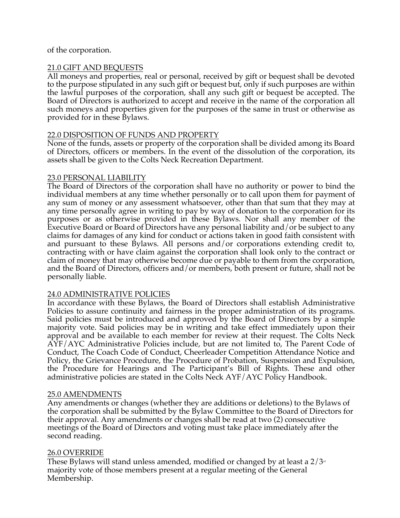# of the corporation.

# 21.0 GIFT AND BEQUESTS

All moneys and properties, real or personal, received by gift or bequest shall be devoted to the purpose stipulated in any such gift or bequest but, only if such purposes are within the lawful purposes of the corporation, shall any such gift or bequest be accepted. The Board of Directors is authorized to accept and receive in the name of the corporation all such moneys and properties given for the purposes of the same in trust or otherwise as provided for in these Bylaws.

# 22.0 DISPOSITION OF FUNDS AND PROPERTY

None of the funds, assets or property of the corporation shall be divided among its Board of Directors, officers or members. In the event of the dissolution of the corporation, its assets shall be given to the Colts Neck Recreation Department.

# 23.0 PERSONAL LIABILITY

The Board of Directors of the corporation shall have no authority or power to bind the individual members at any time whether personally or to call upon them for payment of any sum of money or any assessment whatsoever, other than that sum that they may at any time personally agree in writing to pay by way of donation to the corporation for its purposes or as otherwise provided in these Bylaws. Nor shall any member of the Executive Board or Board of Directors have any personal liability and/or be subject to any claims for damages of any kind for conduct or actions taken in good faith consistent with and pursuant to these Bylaws. All persons and/or corporations extending credit to, contracting with or have claim against the corporation shall look only to the contract or claim of money that may otherwise become due or payable to them from the corporation, and the Board of Directors, officers and/or members, both present or future, shall not be personally liable.

# 24.0 ADMINISTRATIVE POLICIES

In accordance with these Bylaws, the Board of Directors shall establish Administrative Policies to assure continuity and fairness in the proper administration of its programs. Said policies must be introduced and approved by the Board of Directors by a simple majority vote. Said policies may be in writing and take effect immediately upon their approval and be available to each member for review at their request. The Colts Neck AYF/AYC Administrative Policies include, but are not limited to, The Parent Code of Conduct, The Coach Code of Conduct, Cheerleader Competition Attendance Notice and Policy, the Grievance Procedure, the Procedure of Probation, Suspension and Expulsion, the Procedure for Hearings and The Participant's Bill of Rights. These and other administrative policies are stated in the Colts Neck AYF/AYC Policy Handbook.

# 25.0 AMENDMENTS

Any amendments or changes (whether they are additions or deletions) to the Bylaws of the corporation shall be submitted by the Bylaw Committee to the Board of Directors for their approval. Any amendments or changes shall be read at two (2) consecutive meetings of the Board of Directors and voting must take place immediately after the second reading.

# 26.0 OVERRIDE

These Bylaws will stand unless amended, modified or changed by at least a  $2/3<sup>d</sup>$ majority vote of those members present at a regular meeting of the General Membership.